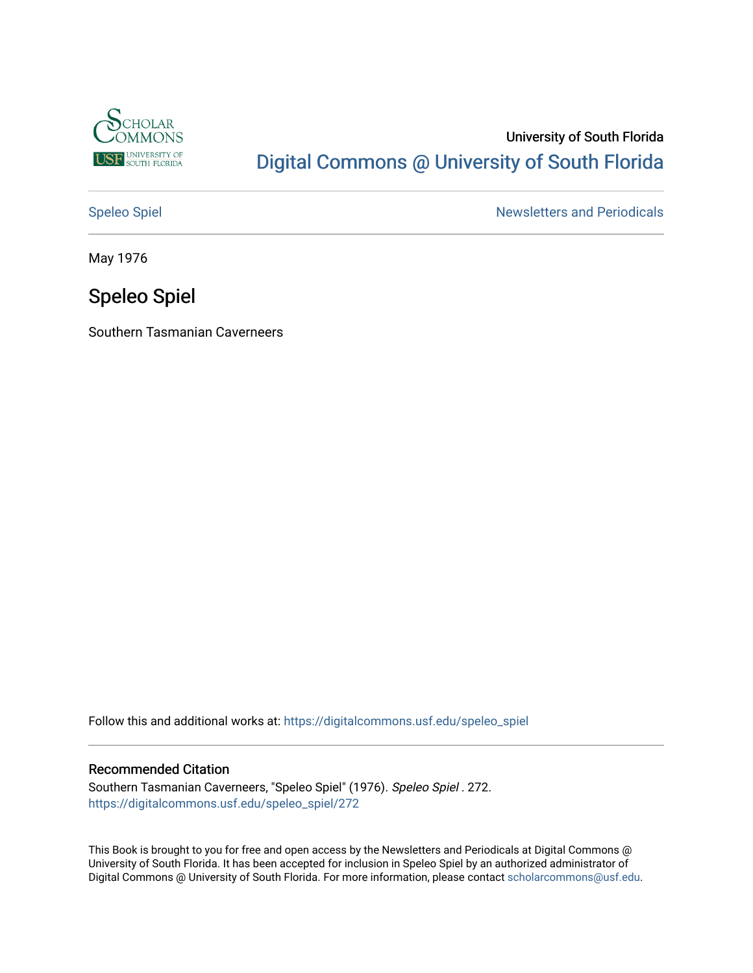

## University of South Florida [Digital Commons @ University of South Florida](https://digitalcommons.usf.edu/)

[Speleo Spiel](https://digitalcommons.usf.edu/speleo_spiel) Newsletters and Periodicals

May 1976

## Speleo Spiel

Southern Tasmanian Caverneers

Follow this and additional works at: [https://digitalcommons.usf.edu/speleo\\_spiel](https://digitalcommons.usf.edu/speleo_spiel?utm_source=digitalcommons.usf.edu%2Fspeleo_spiel%2F272&utm_medium=PDF&utm_campaign=PDFCoverPages)

#### Recommended Citation

Southern Tasmanian Caverneers, "Speleo Spiel" (1976). Speleo Spiel . 272. [https://digitalcommons.usf.edu/speleo\\_spiel/272](https://digitalcommons.usf.edu/speleo_spiel/272?utm_source=digitalcommons.usf.edu%2Fspeleo_spiel%2F272&utm_medium=PDF&utm_campaign=PDFCoverPages)

This Book is brought to you for free and open access by the Newsletters and Periodicals at Digital Commons @ University of South Florida. It has been accepted for inclusion in Speleo Spiel by an authorized administrator of Digital Commons @ University of South Florida. For more information, please contact [scholarcommons@usf.edu.](mailto:scholarcommons@usf.edu)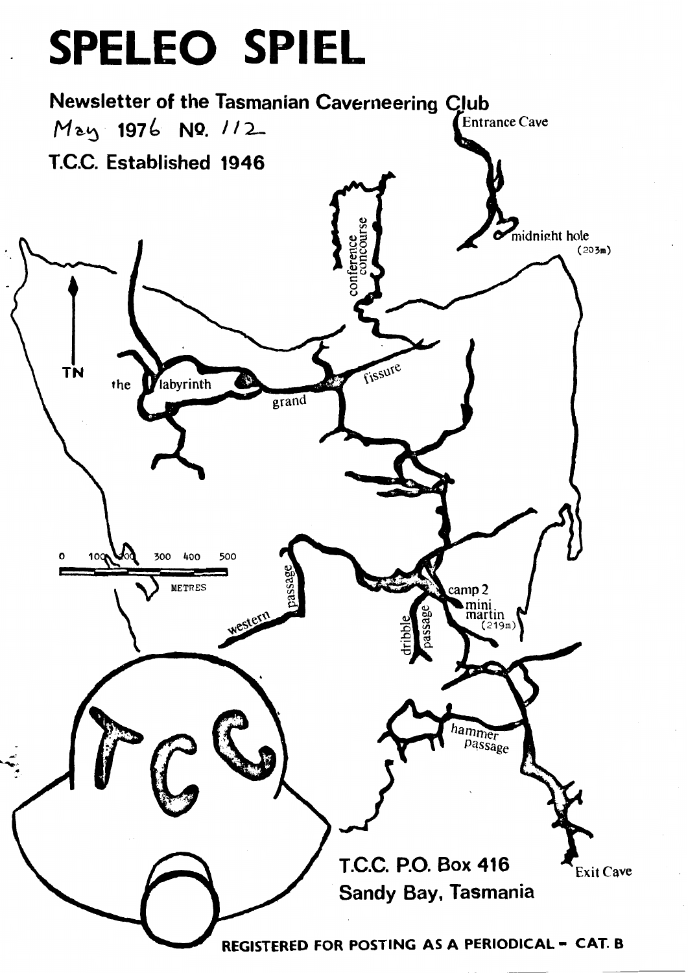# SPELEO SPIEL

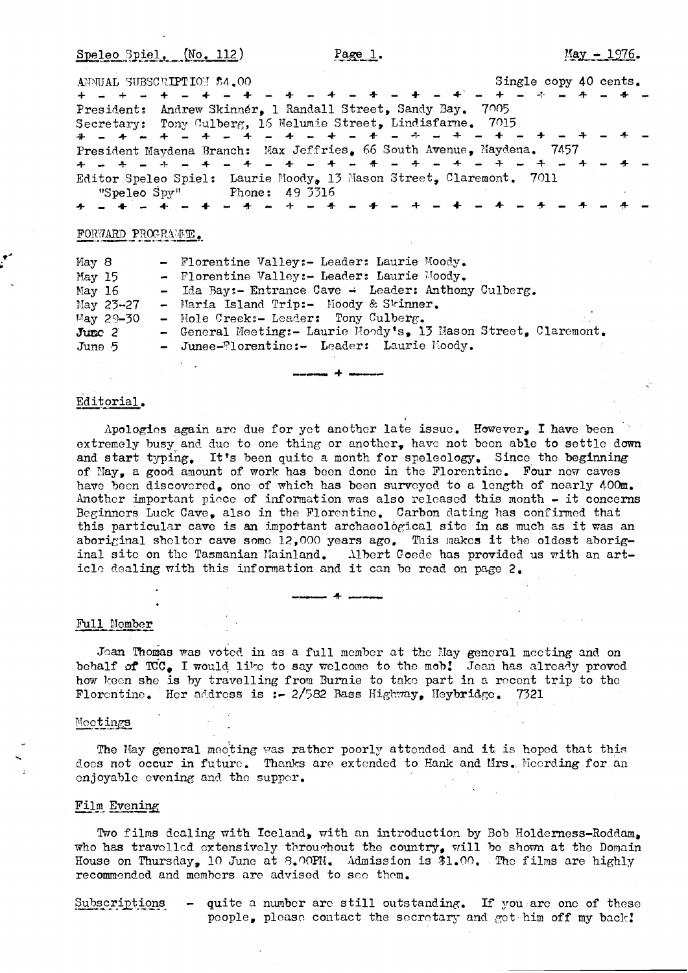Speleo Spiel. (No. 112)

| ANNUAL SUBSCRIPTION \$4.00                                             | Single copy 40 cents. |
|------------------------------------------------------------------------|-----------------------|
|                                                                        |                       |
| President: Andrew Skinner, 1 Randall Street, Sandy Bay. 7005           |                       |
| Secretary: Tony Culberg, 16 Nelumie Street, Lindisfarne. 7015          |                       |
|                                                                        |                       |
| President Maydena Branch: Max Jeffries, 66 South Avenue, Maydena. 7457 |                       |
|                                                                        |                       |
| Editor Speleo Spiel: Laurie Moody, 13 Mason Street, Claremont. 7011    |                       |
| "Speleo Spy" Phone: 49 3316                                            |                       |
|                                                                        |                       |

#### FORWARD PROGRAME.

| May $8$<br>May 15<br>May 16  | - Florentine Valley:- Leader: Laurie Moody.<br>- Florentine Valley:- Leader: Laurie Moody.<br>- Ida Bay:- Entrance Cave - Leader: Anthony Culberg. |  |
|------------------------------|----------------------------------------------------------------------------------------------------------------------------------------------------|--|
| May $23-27$<br>$May 29 - 30$ | - Maria Island Trip:- Moody & Skinner.<br>- Mole Creek:- Leader: Tony Culberg.<br>- General Meeting:- Laurie Mondy's, 13 Mason Street, Claremont.  |  |
| $J$ umc $2$<br>June $5$      | - Junee-Florentine:- Leader: Laurie Moody.                                                                                                         |  |

#### Editorial.

Apologies again are due for yet another late issue. However, I have been extremely busy and due to one thing or another, have not been able to settle down and start typing, It's becn quitc a month for speleology. Since the beginning of May, a good amount of work has been done in the Florentine. Four new caves have been discovered, one of which has been surveyed to a length of nearly 400m. Another important piece of information was also released this month - it concerns Bcginncrs Luck Cave, also in the Florcntinc. Carbon dating has conrirmcd that this particular cave is an important archaeological site in as much as it was an aboriginal shelter cave some 12,000 years ago. This makes it the oldest aboriginal site on the Tasmanian Mainland. Albert Goede has provided us with an article dealing with this information and it can be read on page  $2$ .

## Full Mem Full Member

Jean Thomas was voted in as a full member at the Hay general meeting and on behalf of  $TC_{\bullet}$  I would like to say welcome to the mob! Jean has already proved how keen she is by travelling from Burnie to take part in a recent trip to the Florentine. Her address is :- 2/582 Bass Highway, Heybridge. 7321

#### Mootings

The May general mecting was rather poorly attended and it is hoped that this does not occur in future. Thanks are extended to Hank and Mrs. Moording for an enjoyable evening and the supper.

#### Film Evening

Two films dealing with Iceland, with an introduction by Bob Holderness-Roddam. who has travelled extensively throughout the country, will be shown at the Domain House on Thursday, 10 June at 8.00PM. Admission is 31.00. The films are highly recommended and members are advised to see them.

Subscriptions  $-$  quite a number are still outstanding. If you are one of these people, please contact the secretary and get him off my back!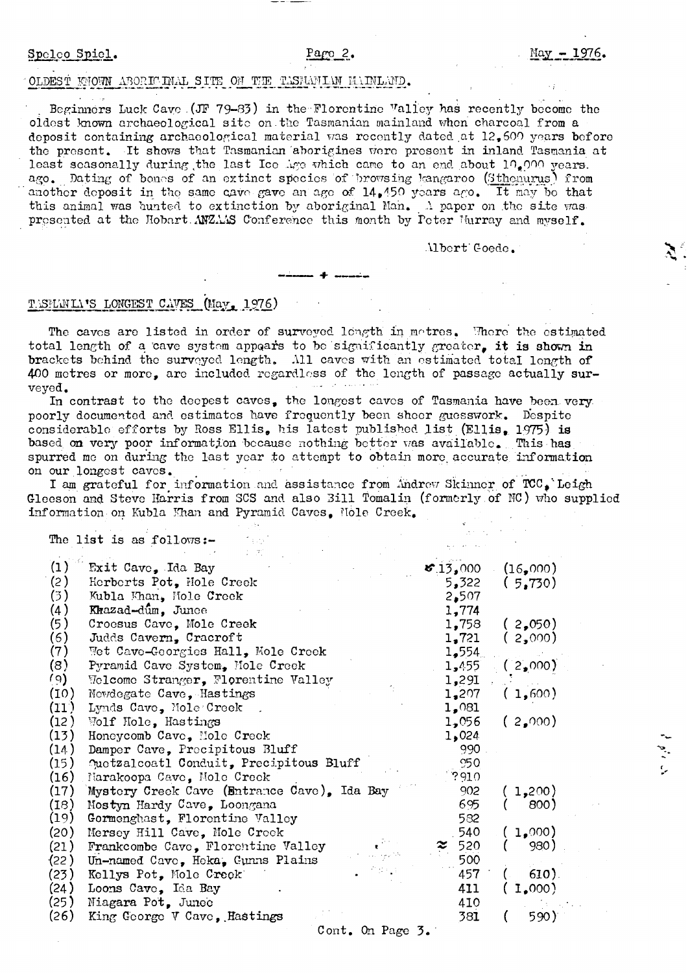#### $Parec$  2.

#### OLDEST MOWN ABORICINAL SITE ON THE TASMANIAN MAINLAND.

Beginners Luck Cave (JF 79-83) in the Florentine Valley has recently become the oldest known archaeological site on the Tasmanian mainland when charcoal from a deposit containing archaeological material was recently dated at 12,600 years before the present. It shows that Tasmanian aborigines were present in inland Tasmania at least scasonally during the last Ice ige which came to an end about 10,000 years. ago. Dating of bones of an extinct species of browsing kangaroo (Sthenurus) from another deposit in the same cave gave an age of 14,450 years ago. It may be that this animal was hunted to extinction by aboriginal Man. A paper on the site was presented at the Hobart ANZAAS Conference this month by Peter Hurray and myself.

Albert Coede.

### TASMANIA'S LONGEST CAVES (May, 1976)

The caves are listed in order of surveyed longth in metres. There the estimated total length of a cave system appears to be significantly greater, it is shown in brackets behind the surveyed length. All caves with an estimated total longth of 400 metres or more, are included regardless of the length of passage actually sur-فالمعتقب فيالين veyed.

In contrast to the deepest caves, the longest caves of Tasmania have been very poorly documented and estimates have frequently been sheer guesswork. Despite considerable efforts by Ross Ellis, his latest published list (Ellis, 1975) is based on very poor information because nothing better was available. This has spurred me on during the last year to attempt to obtain more accurate information on our longest caves.

I am grateful for information and assistance from Andrew Skinner of TCC, Leigh Gleeson and Steve Harris from SCS and also Bill Tomalin (formerly of NC) who supplied information on Kubla Khan and Pyramid Caves. Nole Creek.

.<br>Bura

The list is as follows:-

| (1)  | Exit Cave, Ida Bay                          | $\mathcal{F}.13,000$ | (16,000)          |
|------|---------------------------------------------|----------------------|-------------------|
| (2)  | Herberts Pot, Hole Creek                    | 5,322                | (5,730)           |
| (3)  | Kubla Khan, Mole Creek                      | 2,507                |                   |
| (4)  | Krazad-dûm, Junee                           | 1,774                |                   |
| (5)  | Croesus Cave, Mole Creek                    | 1,758                | (2,050)           |
| (6)  | Judds Cavern, Cracroft                      | 1,721                | (2,000)           |
| (7)  | Wet Cave-Georgies Hall, Mole Creek          | 1,554                |                   |
| (8)  | Pyramid Cave System, Mole Creek             | 1,455                | (2,000)           |
| (৭)  | Velcome Stranger, Florentine Valley         | 1,291                |                   |
| (10) | Newdegate Cave, Hastings                    | 1,207                | (1,600)           |
| (11) | Lynds Cave, Mole Creek                      | 1,081                |                   |
| (12) | Wolf Hole, Hastings                         | 1,056                | (2,000)           |
| (13) | Honeycomb Cave, Mole Creek                  | 1,024                |                   |
| (14) | Damper Cave, Precipitous Bluff              | 990                  |                   |
| (15) | Quetzalcoatl Conduit, Precipitous Bluff     | 950                  |                   |
| (16) | Narakoopa Cave, Mole Creek                  | ?910                 |                   |
| (17) | Mystery Creek Cave (Entrance Cave), Ida Bay | 902                  | 1,200)            |
| (18) | Mostyn Hardy Cave, Loongana                 | 695                  | 800)              |
| (19) | Gormenghast, Florentine Valley              | 582                  |                   |
| (20) | Mersey Hill Cave, Mole Creek                | 540                  | (1,000)           |
| (21) | Frankcombe Cave, Florentine Valley          | 520                  | 980)              |
| (22) | Un-named Cave, Heka, Gunns Plains           | 500                  |                   |
| (23) | Kellys Pot, Mole Creck                      | 457                  | 610).             |
| (24) | Loons Cave, Ida Bay                         | 411                  | 1,000             |
| (25) | Niagara Pot, Junec                          | 410                  |                   |
| (26) | King George V Cave, Hastings                | 381                  | 590) <sup>.</sup> |
|      | Cont. On Page 3.                            |                      |                   |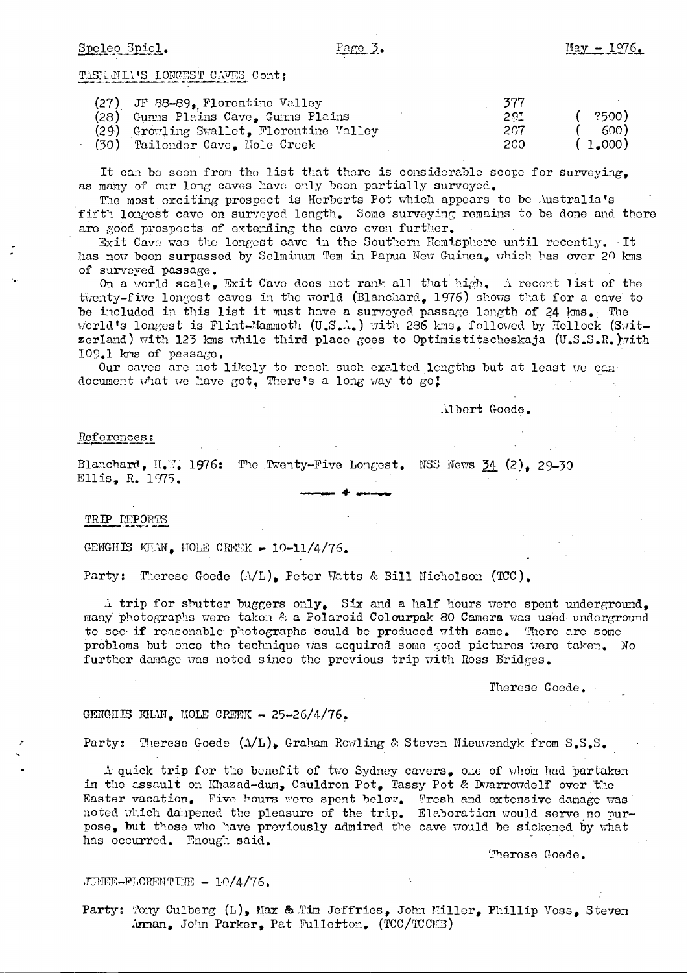#### Speleo Spicl.

#### Page 3.

TASELALL'S LONGEST CAVES Cont;

| (27).<br>JF 88-89, Florentine Valley     | 377 |         |
|------------------------------------------|-----|---------|
| Cunns Plains Cave, Gunns Plains<br>(28). | 291 | - ?500) |
| (29) Growling Swallet, Florentine Valley | 207 | .600 E  |
| (30)<br>Tailender Cave, Mole Creek       | 200 | (1,000) |

It can be seen from the list that there is considerable scope for surveying. as many of our long caves have only been partially surveyed.

The most exciting prospect is Herberts Pot which appears to be Australia's fifth longest cave on surveyed length. Some surveying remains to be done and there are good prospects of extending the cave even further.

Exit Cave was the longest cave in the Southern Hemisphere until recently. It has now been surpassed by Sclminum Tem in Papua New Guinea. which has over 20 kms of surveyed passage.

On a world scale, Exit Cave does not rank all that high. A recent list of the twenty-five longest caves in the world (Blanchard, 1976) shows that for a cave to be included in this list it must have a surveyed passage length of 24 kms. The world's longest is Flint-Mammoth (U.S.A.) with 286 kms, followed by Hollock (Switzerland) with 123 kms while third place goes to Optimistitscheskaja (U.S.S.R.)with 109.1 kms of passage.

Our caves are not likely to reach such exalted longths but at least we can document what we have got. There's a long way to go!

Albert Goede.

#### References:

Blanchard, H.W. 1976: The Twenty-Five Longest. NSS News 34 (2). 29-30 Ellis, R. 1975.

TRIP LEPORTS

GENGHIS KHAN, NOLE CREEK - 10-11/4/76.

Party: Therese Goede (A/L), Peter Watts & Bill Nicholson (TCC).

A trip for shutter buggers only. Six and a half hours were spent underground. many photographs were taken & a Polaroid Colourpak 80 Camera was used underground to see if reasonable photographs could be produced with same. There are some problems but once the technique was acquired some good pictures were taken. No further damage was noted since the previous trip with Ross Bridges.

Therese Goede.

#### GENGHIS KHAN, MOLE CREEK - 25-26/4/76.

Party: Therese Goede  $(\Lambda/L)$ , Graham Rowling & Steven Nieuwendyk from S.S.S.

A quick trip for the benefit of two Sydney cavers, one of whom had partaken in the assault on Khazad-dun, Cauldron Pot, Tassy Pot & Dwarrowdelf over the Easter vacation. Five hours were spent below. Fresh and extensive damage was noted which dampened the pleasure of the trip. Elaboration would serve no purpose, but those who have previously admired the cave would be sickened by what has occurred. Enough said.

Therese Goede.

JUNEE-FLORENTINE - 10/4/76.

Party: Tony Culberg (L), Max & Tim Jeffries, John Miller, Phillip Voss, Steven Annan, John Parker, Pat Fullerton. (TCC/TCCMB)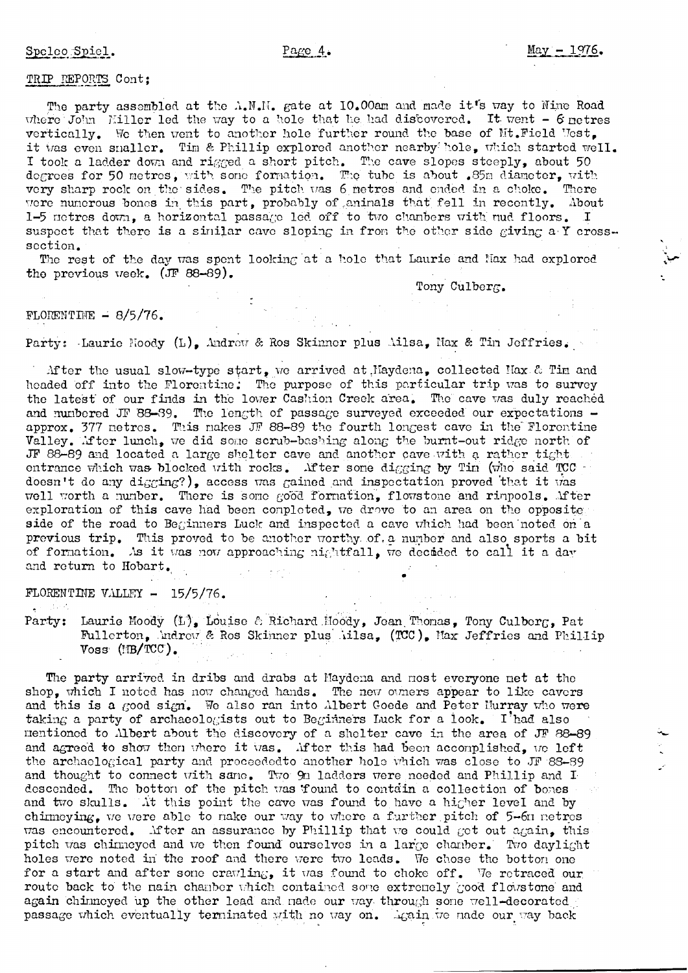#### TRIP REPORTS Cont:

The party assembled at the A.M.H. gate at 10.00am and made it's way to Nine Road where  $J_{\text{O}}$  m [Hiller led the way to a hole that he had discovered. It went - 6 netres vertically. We then went to another hole further round the base of Mt. Field West. it was even snaller. Tim & Phillip explored another nearby hole, which started well. I took a ladder down and rigged a short pitch. The cave slopes steeply, about 50 degrees for 50 metres, with some formation. The tube is about .85m diameter, with very sharp rock on the sides. The pitch was 6 metres and ended in a choke. There were numerous bones in this part, probably of animals that fell in recently. About 1-5 notres down, a horizontal passage led off to two chanbers with nud floors. I suspect that there is a similar cave sloping in from the other side giving a Y crosssection.

The rest of the day was spent looking at a hole that Laurie and Nax had explored the previous week. (JF 88-89).

Tony Culberg.

#### FLORENTINE  $- 8/5/76$ .

Party: Laurie Noody (L), Andrew & Ros Skinner plus Ailsa, Max & Tin Jeffries.

After the usual slow-type start, we arrived at Naydena, collected Nax & Tim and headed off into the Florentine: The purpose of this particular trip was to survey the latest of our finds in the lower Cashion Creek area. The cave was duly reached and numbered JF 88-89. The length of passage surveyed exceeded our expectations approx. 377 netres. This nakes JF 88-89 the fourth longest cave in the Florentine Valley. Mfter lunch, we did some scrub-bashing along the burnt-out ridge north of JF 88-89 and located a large shelter cave and another cave with a rather tight. entrance which was blocked with rocks. After some digging by Tim (who said TCC doesn't do any digging?), access was gained and inspectation proved that it was well worth a number. There is some good formation, flowstone and rimpools. Mfter exploration of this cave had been completed, we drove to an area on the opposite side of the road to Beginners Luck and inspected a cave which had been noted on a previous trip. This proved to be another worthy of a number and also sports a bit of formation. As it was now approaching nightfall, we decided to call it a day and return to Hobart.

FLORENTINE VALLEY  $-15/5/76$ .

Party: Laurie Moody (L), Louise & Richard Moody, Jean Thomas, Tony Culberg, Pat Fullerton, Indrew & Ros Skinner plus iilsa. (TCC). Max Jeffries and Phillip  $V$ oss  $(MB/TCC)$ .

The party arrived in dribs and drabs at Maydena and most everyone net at the shop, which I noted has now changed hands. The new owners appear to like cavers and this is a good sign. We also ran into Albert Goede and Peter Hurray who were taking a party of archaeologists out to Beginners Luck for a look. I had also mentioned to Albert about the discovery of a shelter cave in the area of JF 88-89 and agreed to show then where it was. After this had been accomplished, we left the archaelogical party and proceeded to another hole which was close to JF 88-89 and thought to connect with same. Two 9n ladders were needed and Phillip and I descended. The bottom of the pitch was found to contain a collection of bones and two skulls. At this point the cave was found to have a higher level and by chinneying, we were able to nake our way to where a further pitch of 5-60 netres was encountered. After an assurance by Phillip that we could get out again, this pitch was chinneyed and we then found ourselves in a large chanber. Two daylight holes were noted in the roof and there were two leads. We chose the botton one for a start and after some crawling, it was found to choke off. We retraced our route back to the nain chanber which contained some extremely good flowstone and again chinneyed up the other lead and nade our way through some well-decorated passage which eventually terminated with no way on. Again we made our way back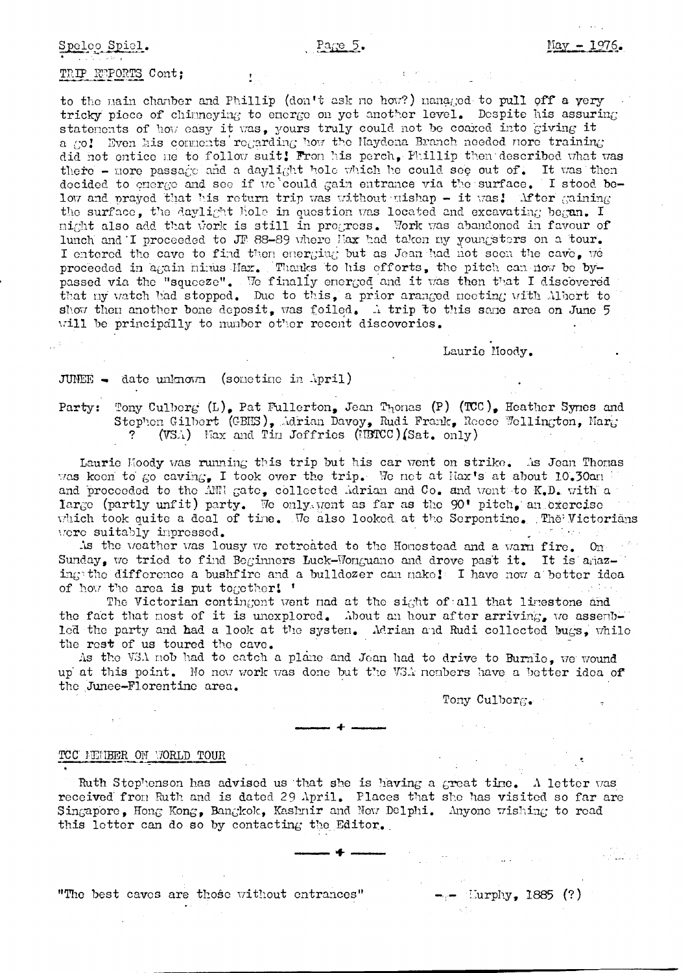Spelco Spiel.

#### Page  $5.$

#### TRIP REPORTS Cont;

to the main chamber and Phillip (don't ask me how?) managed to pull off a yery tricky piece of chimneying to energe on yet another level. Despite his assuring statements of how easy it was, yours truly could not be coaxed into giving it a go! Even his connents regarding how the Maydena Branch needed nore training did not entice me to follow suit! From his perch, Phillip then described what was there - nore passage and a daylight hole which he could see out of. It was then docided to energe and see if we could gain entrance via the surface. I stood below and praved that his return trip was without mishap - it was! Mfter maining the surface, the daylight hole in question was located and excavating began. I might also add that work is still in progress. Work was abandoned in favour of lunch and I proceeded to JF 88-89 where Max had taken my youngsters on a tour. I entered the cave to find then energing but as Jean had not seen the cave, we proceeded in again minus Max. Thanks to his efforts, the pitch can now be bypassed via the "squeeze". We finally energed and it was then that I discovered that my watch had stopped. Due to this, a prior aranged meeting with Miert to show then another bone deposit, was foiled. A trip to this same area on June 5 will be principally to mumber other recent discoveries.

Laurie Moody.

#### JUNEE - date unknown (sometime in April)

Party: Tony Culberg (L), Pat Fullerton, Jean Thomas (P) (TCC), Heather Synes and Stephen Gilbert (GBHS), Adrian Davey, Rudi Frank, Reece Wellington, Marg (VSA) Nax and Tim Jeffries (IBTCC) (Sat. only)

Laurie Moody was running this trip but his car went on strike. As Jean Thomas was keen to go caving. I took over the trip. We not at Max's at about 10.30an and proceeded to the ANN gate, collected Adrian and Co. and went to K.D. with a large (partly unfit) party. We only went as far as the 90' pitch, an exercise which took quite a deal of time. We also looked at the Serpentine. The Victorians were suitably impressed.

As the weather was lousy we retroated to the Homestead and a warm fire. On Sunday, we tried to find Beginners Luck-Wonguano and drove past it. It is anazing the difference a bushfire and a bulldozer can nake! I have now a better idea of how the area is put together! '

The Victorian contingent went nad at the sight of all that linestone and the fact that nost of it is unexplored. About an hour after arriving, we assemblod the party and had a look at the system. Merian and Rudi collected bugs, while the rest of us toured the cave.

As the VSA nob had to catch a plane and Jean had to drive to Burnle, we wound up at this point. No now work was done but the VSA nembers have a better idea of the Junee-Florentine area.

Tony Culberg.

#### TCC MEMBER ON VORLD TOUR

Ruth Stephenson has advised us that she is having a great time. A letter was received from Ruth and is dated 29 April. Places that she has visited so far are Singapore, Hong Kong, Bangkok, Kashnir and New Delphi. Anyone wishing to read this letter can do so by contacting the Editor.

"The best caves are those without entrances"

 $\text{---}$  Lurphy, 1885 (?)

e pilot ob